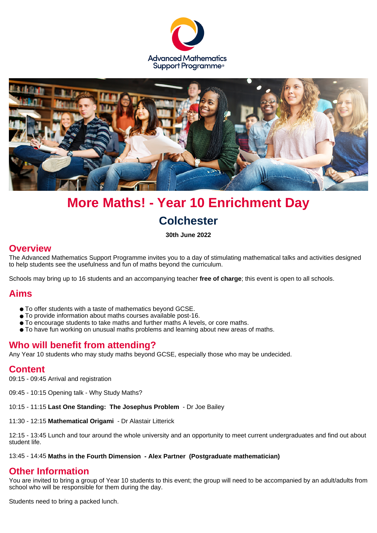



# **More Maths! - Year 10 Enrichment Day Colchester**

**30th June 2022**

#### **Overview**

The Advanced Mathematics Support Programme invites you to a day of stimulating mathematical talks and activities designed to help students see the usefulness and fun of maths beyond the curriculum.

Schools may bring up to 16 students and an accompanying teacher **free of charge**; this event is open to all schools.

#### **Aims**

- To offer students with a taste of mathematics beyond GCSE.
- To provide information about maths courses available post-16.
- To encourage students to take maths and further maths A levels, or core maths.
- To have fun working on unusual maths problems and learning about new areas of maths.

#### **Who will benefit from attending?**

Any Year 10 students who may study maths beyond GCSE, especially those who may be undecided.

#### **Content**

09:15 - 09:45 Arrival and registration

09:45 - 10:15 Opening talk - Why Study Maths?

10:15 - 11:15 **Last One Standing: The Josephus Problem** - Dr Joe Bailey

11:30 - 12:15 **Mathematical Origami** - Dr Alastair Litterick

12:15 - 13:45 Lunch and tour around the whole university and an opportunity to meet current undergraduates and find out about student life.

13:45 - 14:45 **Maths in the Fourth Dimension - Alex Partner (Postgraduate mathematician)**

#### **Other Information**

You are invited to bring a group of Year 10 students to this event; the group will need to be accompanied by an adult/adults from school who will be responsible for them during the day.

Students need to bring a packed lunch.